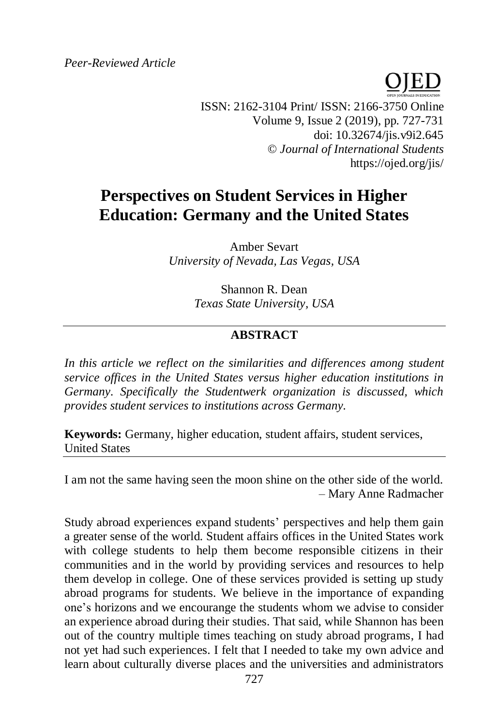*Peer-Reviewed Article*

ISSN: 2162-3104 Print/ ISSN: 2166-3750 Online Volume 9, Issue 2 (2019), pp. 727-731 doi: 10.32674/jis.v9i2.645 © *Journal of International Students* https://ojed.org/jis/

# **Perspectives on Student Services in Higher Education: Germany and the United States**

Amber Sevart *University of Nevada, Las Vegas, USA*

> Shannon R. Dean *Texas State University, USA*

## **ABSTRACT**

In this article we reflect on the similarities and differences among student *service offices in the United States versus higher education institutions in Germany. Specifically the Studentwerk organization is discussed, which provides student services to institutions across Germany.*

**Keywords:** Germany, higher education, student affairs, student services, United States

I am not the same having seen the moon shine on the other side of the world*. –* Mary Anne Radmacher

Study abroad experiences expand students' perspectives and help them gain a greater sense of the world. Student affairs offices in the United States work with college students to help them become responsible citizens in their communities and in the world by providing services and resources to help them develop in college. One of these services provided is setting up study abroad programs for students. We believe in the importance of expanding one's horizons and we encourange the students whom we advise to consider an experience abroad during their studies. That said, while Shannon has been out of the country multiple times teaching on study abroad programs, I had not yet had such experiences. I felt that I needed to take my own advice and learn about culturally diverse places and the universities and administrators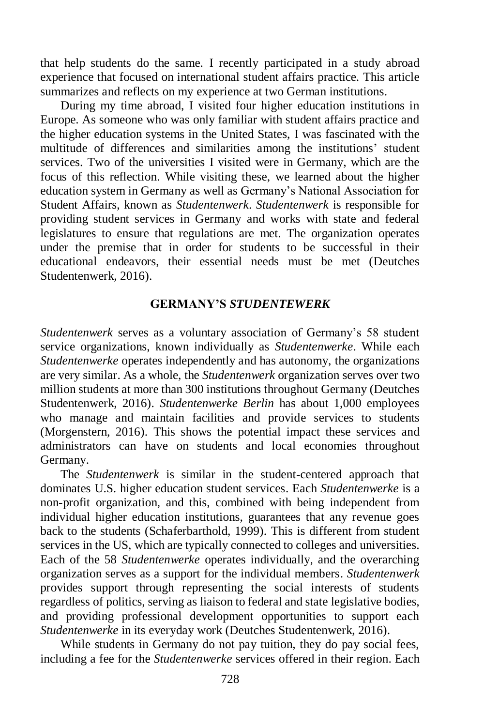that help students do the same. I recently participated in a study abroad experience that focused on international student affairs practice. This article summarizes and reflects on my experience at two German institutions.

During my time abroad, I visited four higher education institutions in Europe. As someone who was only familiar with student affairs practice and the higher education systems in the United States, I was fascinated with the multitude of differences and similarities among the institutions' student services. Two of the universities I visited were in Germany, which are the focus of this reflection. While visiting these, we learned about the higher education system in Germany as well as Germany's National Association for Student Affairs, known as *Studentenwerk*. *Studentenwerk* is responsible for providing student services in Germany and works with state and federal legislatures to ensure that regulations are met. The organization operates under the premise that in order for students to be successful in their educational endeavors, their essential needs must be met (Deutches Studentenwerk, 2016).

#### **GERMANY'S** *STUDENTEWERK*

*Studentenwerk* serves as a voluntary association of Germany's 58 student service organizations, known individually as *Studentenwerke*. While each *Studentenwerke* operates independently and has autonomy, the organizations are very similar. As a whole, the *Studentenwerk* organization serves over two million students at more than 300 institutions throughout Germany (Deutches Studentenwerk, 2016). *Studentenwerke Berlin* has about 1,000 employees who manage and maintain facilities and provide services to students (Morgenstern, 2016). This shows the potential impact these services and administrators can have on students and local economies throughout Germany.

The *Studentenwerk* is similar in the student-centered approach that dominates U.S. higher education student services. Each *Studentenwerke* is a non-profit organization, and this, combined with being independent from individual higher education institutions, guarantees that any revenue goes back to the students (Schaferbarthold, 1999). This is different from student services in the US, which are typically connected to colleges and universities. Each of the 58 *Studentenwerke* operates individually, and the overarching organization serves as a support for the individual members. *Studentenwerk* provides support through representing the social interests of students regardless of politics, serving as liaison to federal and state legislative bodies, and providing professional development opportunities to support each *Studentenwerke* in its everyday work (Deutches Studentenwerk, 2016).

While students in Germany do not pay tuition, they do pay social fees, including a fee for the *Studentenwerke* services offered in their region. Each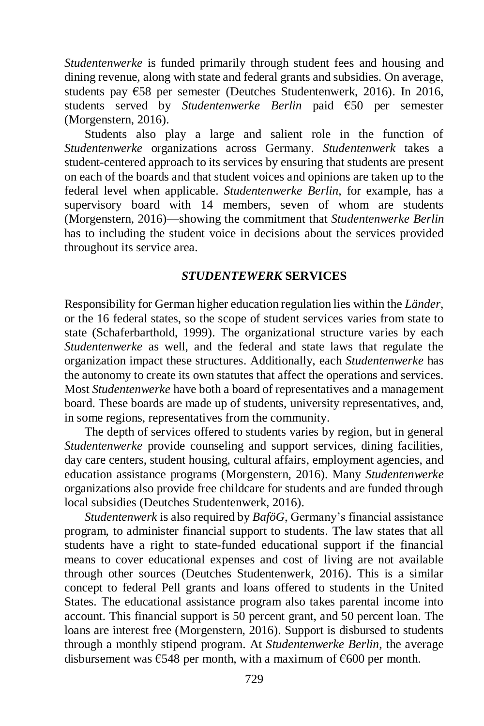*Studentenwerke* is funded primarily through student fees and housing and dining revenue, along with state and federal grants and subsidies. On average, students pay €58 per semester (Deutches Studentenwerk, 2016). In 2016, students served by *Studentenwerke Berlin* paid €50 per semester (Morgenstern, 2016).

Students also play a large and salient role in the function of *Studentenwerke* organizations across Germany. *Studentenwerk* takes a student-centered approach to its services by ensuring that students are present on each of the boards and that student voices and opinions are taken up to the federal level when applicable. *Studentenwerke Berlin*, for example, has a supervisory board with 14 members, seven of whom are students (Morgenstern, 2016)—showing the commitment that *Studentenwerke Berlin* has to including the student voice in decisions about the services provided throughout its service area.

#### *STUDENTEWERK* **SERVICES**

Responsibility for German higher education regulation lies within the *Länder*, or the 16 federal states, so the scope of student services varies from state to state (Schaferbarthold, 1999). The organizational structure varies by each *Studentenwerke* as well, and the federal and state laws that regulate the organization impact these structures. Additionally, each *Studentenwerke* has the autonomy to create its own statutes that affect the operations and services. Most *Studentenwerke* have both a board of representatives and a management board. These boards are made up of students, university representatives, and, in some regions, representatives from the community.

The depth of services offered to students varies by region, but in general *Studentenwerke* provide counseling and support services, dining facilities, day care centers, student housing, cultural affairs, employment agencies, and education assistance programs (Morgenstern, 2016). Many *Studentenwerke* organizations also provide free childcare for students and are funded through local subsidies (Deutches Studentenwerk, 2016).

*Studentenwerk* is also required by *BaföG*, Germany's financial assistance program, to administer financial support to students. The law states that all students have a right to state-funded educational support if the financial means to cover educational expenses and cost of living are not available through other sources (Deutches Studentenwerk, 2016). This is a similar concept to federal Pell grants and loans offered to students in the United States. The educational assistance program also takes parental income into account. This financial support is 50 percent grant, and 50 percent loan. The loans are interest free (Morgenstern, 2016). Support is disbursed to students through a monthly stipend program. At *Studentenwerke Berlin*, the average disbursement was  $\epsilon$ 548 per month, with a maximum of  $\epsilon$ 600 per month.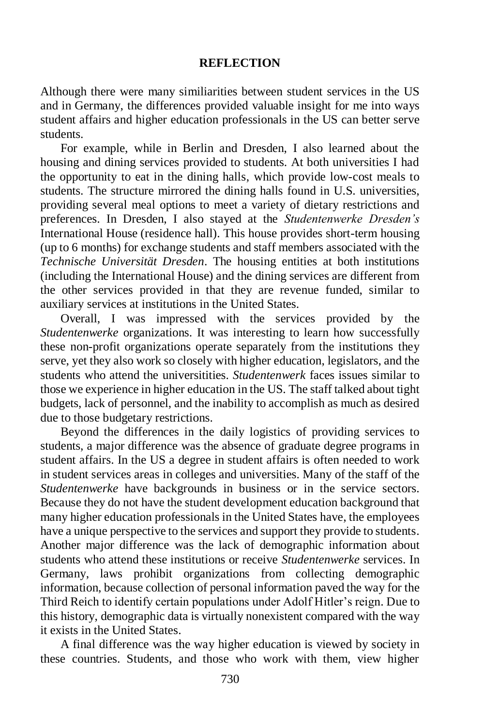#### **REFLECTION**

Although there were many similiarities between student services in the US and in Germany, the differences provided valuable insight for me into ways student affairs and higher education professionals in the US can better serve students.

For example, while in Berlin and Dresden, I also learned about the housing and dining services provided to students. At both universities I had the opportunity to eat in the dining halls, which provide low-cost meals to students. The structure mirrored the dining halls found in U.S. universities, providing several meal options to meet a variety of dietary restrictions and preferences. In Dresden, I also stayed at the *Studentenwerke Dresden's* International House (residence hall). This house provides short-term housing (up to 6 months) for exchange students and staff members associated with the *Technische Universität Dresden*. The housing entities at both institutions (including the International House) and the dining services are different from the other services provided in that they are revenue funded, similar to auxiliary services at institutions in the United States.

Overall, I was impressed with the services provided by the *Studentenwerke* organizations. It was interesting to learn how successfully these non-profit organizations operate separately from the institutions they serve, yet they also work so closely with higher education, legislators, and the students who attend the universitities. *Studentenwerk* faces issues similar to those we experience in higher education in the US. The staff talked about tight budgets, lack of personnel, and the inability to accomplish as much as desired due to those budgetary restrictions.

Beyond the differences in the daily logistics of providing services to students, a major difference was the absence of graduate degree programs in student affairs. In the US a degree in student affairs is often needed to work in student services areas in colleges and universities. Many of the staff of the *Studentenwerke* have backgrounds in business or in the service sectors. Because they do not have the student development education background that many higher education professionals in the United States have, the employees have a unique perspective to the services and support they provide to students. Another major difference was the lack of demographic information about students who attend these institutions or receive *Studentenwerke* services. In Germany, laws prohibit organizations from collecting demographic information, because collection of personal information paved the way for the Third Reich to identify certain populations under Adolf Hitler's reign. Due to this history, demographic data is virtually nonexistent compared with the way it exists in the United States.

A final difference was the way higher education is viewed by society in these countries. Students, and those who work with them, view higher